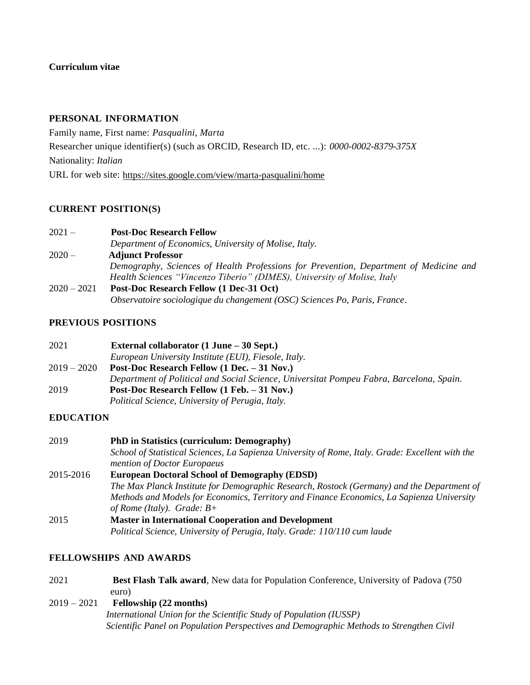## **Curriculum vitae**

#### **PERSONAL INFORMATION**

Family name, First name: *Pasqualini, Marta* Researcher unique identifier(s) (such as ORCID, Research ID, etc. ...): *0000-0002-8379-375X* Nationality: *Italian*  URL for web site:<https://sites.google.com/view/marta-pasqualini/home>

### **CURRENT POSITION(S)**

2021 – **Post-Doc Research Fellow**

*Department of Economics, University of Molise, Italy.*

- 2020 **Adjunct Professor**  *Demography, Sciences of Health Professions for Prevention, Department of Medicine and Health Sciences "Vincenzo Tiberio" (DIMES), University of Molise, Italy* 2020 – 2021 **Post-Doc Research Fellow (1 Dec-31 Oct)**
	- *Observatoire sociologique du changement (OSC) Sciences Po, Paris, France*.

### **PREVIOUS POSITIONS**

| 2021        | External collaborator $(1 \text{ June} - 30 \text{ Sept.})$                             |
|-------------|-----------------------------------------------------------------------------------------|
|             | European University Institute (EUI), Fiesole, Italy.                                    |
| 2019 – 2020 | Post-Doc Research Fellow (1 Dec. – 31 Nov.)                                             |
|             | Department of Political and Social Science, Universitat Pompeu Fabra, Barcelona, Spain. |
| 2019        | Post-Doc Research Fellow (1 Feb. – 31 Nov.)                                             |
|             | Political Science, University of Perugia, Italy.                                        |

### **EDUCATION**

| 2019      | <b>PhD</b> in Statistics (curriculum: Demography)                                                                               |
|-----------|---------------------------------------------------------------------------------------------------------------------------------|
|           | School of Statistical Sciences, La Sapienza University of Rome, Italy. Grade: Excellent with the<br>mention of Doctor Europaeus |
| 2015-2016 | <b>European Doctoral School of Demography (EDSD)</b>                                                                            |
|           |                                                                                                                                 |
|           | The Max Planck Institute for Demographic Research, Rostock (Germany) and the Department of                                      |
|           | Methods and Models for Economics, Territory and Finance Economics, La Sapienza University                                       |
|           | of Rome (Italy). Grade: $B+$                                                                                                    |
| 2015      | <b>Master in International Cooperation and Development</b>                                                                      |
|           | Political Science, University of Perugia, Italy. Grade: 110/110 cum laude                                                       |

### **FELLOWSHIPS AND AWARDS**

- 2021 **Best Flash Talk award**, New data for Population Conference, University of Padova (750 euro)
- 2019 2021 **Fellowship (22 months)**

 *International Union for the Scientific Study of Population (IUSSP) Scientific Panel on Population Perspectives and Demographic Methods to Strengthen Civil*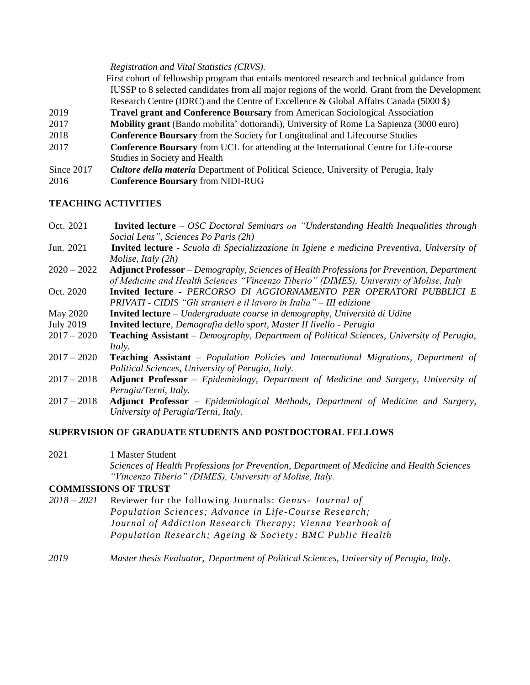*Registration and Vital Statistics (CRVS).* 

First cohort of fellowship program that entails mentored research and technical guidance from IUSSP to 8 selected candidates from all major regions of the world. Grant from the Development Research Centre (IDRC) and the Centre of Excellence & Global Affairs Canada (5000 \$)

- 2019 **Travel grant and Conference Boursary** from American Sociological Association
- 2017 **Mobility grant** (Bando mobilita' dottorandi), University of Rome La Sapienza (3000 euro)
- 2018 **Conference Boursary** from the Society for Longitudinal and Lifecourse Studies
- 2017 **Conference Boursary** from UCL for attending at the International Centre for Life-course Studies in Society and Health
- Since 2017 *Cultore della materia* Department of Political Science, University of Perugia, Italy

2016 **Conference Boursary** from NIDI-RUG

### **TEACHING ACTIVITIES**

| Oct. 2021        | <b>Invited lecture</b> – OSC Doctoral Seminars on "Understanding Health Inequalities through       |
|------------------|----------------------------------------------------------------------------------------------------|
|                  | Social Lens", Sciences Po Paris (2h)                                                               |
| Jun. 2021        | <b>Invited lecture</b> - Scuola di Specializzazione in Igiene e medicina Preventiva, University of |
|                  | <i>Molise, Italy</i> $(2h)$                                                                        |
| $2020 - 2022$    | <b>Adjunct Professor</b> – Demography, Sciences of Health Professions for Prevention, Department   |
|                  | of Medicine and Health Sciences "Vincenzo Tiberio" (DIMES), University of Molise, Italy            |
| Oct. 2020        | Invited lecture - PERCORSO DI AGGIORNAMENTO PER OPERATORI PUBBLICI E                               |
|                  | PRIVATI - CIDIS "Gli stranieri e il lavoro in Italia" – III edizione                               |
| May 2020         | <b>Invited lecture</b> – Undergraduate course in demography, Università di Udine                   |
| <b>July 2019</b> | <b>Invited lecture</b> , <i>Demografia dello sport</i> , <i>Master II livello - Perugia</i>        |

- 2017 2020 **Teaching Assistant** *– Demography, Department of Political Sciences, University of Perugia, Italy.*
- 2017 2020 **Teaching Assistant** *– Population Policies and International Migrations, Department of Political Sciences, University of Perugia, Italy.*
- 2017 2018 **Adjunct Professor** *– Epidemiology, Department of Medicine and Surgery, University of Perugia/Terni, Italy.*
- 2017 2018 **Adjunct Professor** *– Epidemiological Methods, Department of Medicine and Surgery, University of Perugia/Terni, Italy.*

# **SUPERVISION OF GRADUATE STUDENTS AND POSTDOCTORAL FELLOWS**

2021 1 Master Student *Sciences of Health Professions for Prevention, Department of Medicine and Health Sciences "Vincenzo Tiberio" (DIMES), University of Molise, Italy.*

### **COMMISSIONS OF TRUST**

- *2018 – 2021* Reviewer for the following Journals: *Genus- Journal of Population Sciences; Advance in Life -Course Research; Journal of Addiction Research Therapy; Vienna Yearbook of Population Research; Ageing & Society ; BMC Public Health*
- *2019 Master thesis Evaluator, Department of Political Sciences, University of Perugia, Italy.*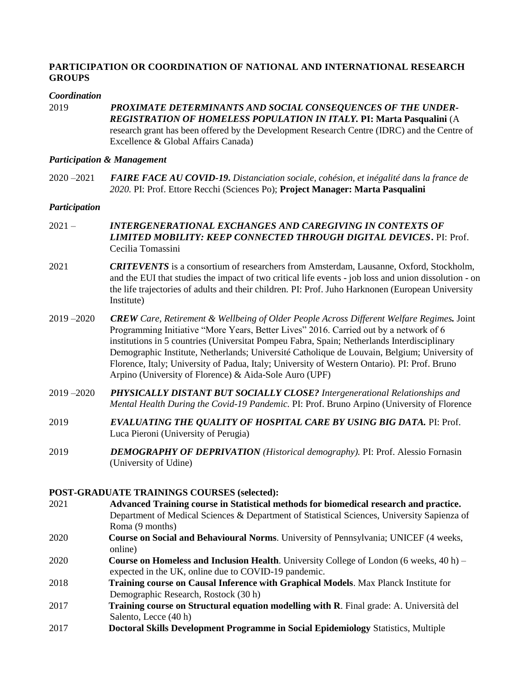# **PARTICIPATION OR COORDINATION OF NATIONAL AND INTERNATIONAL RESEARCH GROUPS**

#### *Coordination*

2019 *PROXIMATE DETERMINANTS AND SOCIAL CONSEQUENCES OF THE UNDER-REGISTRATION OF HOMELESS POPULATION IN ITALY.* **PI: Marta Pasqualini** (A research grant has been offered by the Development Research Centre (IDRC) and the Centre of Excellence & Global Affairs Canada)

#### *Participation & Management*

2020 –2021 *FAIRE FACE AU COVID-19***.** *Distanciation sociale, cohésion, et inégalité dans la france de 2020.* PI: Prof. Ettore Recchi (Sciences Po); **Project Manager: Marta Pasqualini**

#### *Participation*

- 2021 *INTERGENERATIONAL EXCHANGES AND CAREGIVING IN CONTEXTS OF LIMITED MOBILITY: KEEP CONNECTED THROUGH DIGITAL DEVICES***.** PI: Prof. Cecilia Tomassini
- 2021 *CRITEVENTS* is a consortium of researchers from Amsterdam, Lausanne, Oxford, Stockholm, and the EUI that studies the impact of two critical life events - job loss and union dissolution - on the life trajectories of adults and their children*.* PI: Prof. Juho Harknonen (European University Institute)
- 2019 –2020 *CREW Care, Retirement & Wellbeing of Older People Across Different Welfare Regimes.* Joint Programming Initiative "More Years, Better Lives" 2016. Carried out by a network of 6 institutions in 5 countries (Universitat Pompeu Fabra, Spain; Netherlands Interdisciplinary Demographic Institute, Netherlands; Université Catholique de Louvain, Belgium; University of Florence, Italy; University of Padua, Italy; University of Western Ontario). PI: Prof. Bruno Arpino (University of Florence) & Aida-Sole Auro (UPF)
- 2019 –2020 *PHYSICALLY DISTANT BUT SOCIALLY CLOSE? Intergenerational Relationships and Mental Health During the Covid-19 Pandemic.* PI: Prof. Bruno Arpino (University of Florence
- 2019 *EVALUATING THE QUALITY OF HOSPITAL CARE BY USING BIG DATA.* PI: Prof. Luca Pieroni (University of Perugia)
- 2019 *DEMOGRAPHY OF DEPRIVATION (Historical demography).* PI: Prof. Alessio Fornasin (University of Udine)

### **POST-GRADUATE TRAININGS COURSES (selected):**

- 2021 **Advanced Training course in Statistical methods for biomedical research and practice.** Department of Medical Sciences & Department of Statistical Sciences, University Sapienza of Roma (9 months)
- 2020 **Course on Social and Behavioural Norms**. University of Pennsylvania; UNICEF (4 weeks, online)
- 2020 **Course on Homeless and Inclusion Health**. University College of London (6 weeks, 40 h) expected in the UK, online due to COVID-19 pandemic.
- 2018 **Training course on Causal Inference with Graphical Models**. Max Planck Institute for Demographic Research, Rostock (30 h)
- 2017 **Training course on Structural equation modelling with R**. Final grade: A. Università del Salento, Lecce (40 h)
- 2017 **Doctoral Skills Development Programme in Social Epidemiology** Statistics, Multiple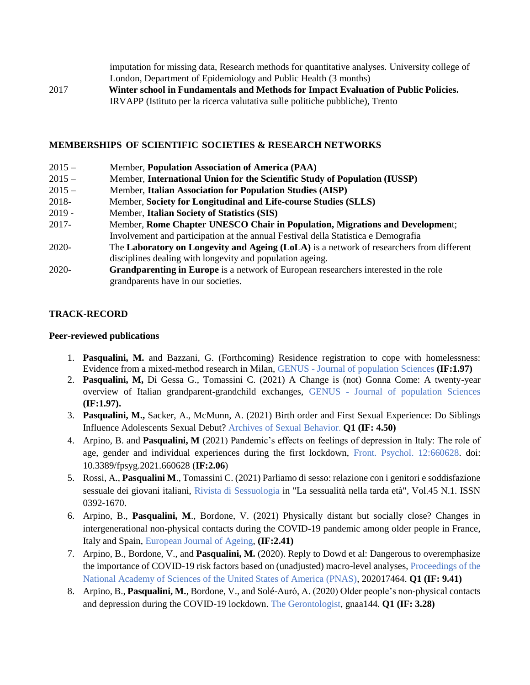imputation for missing data, Research methods for quantitative analyses. University college of London, Department of Epidemiology and Public Health (3 months) 2017 **Winter school in Fundamentals and Methods for Impact Evaluation of Public Policies.**  IRVAPP (Istituto per la ricerca valutativa sulle politiche pubbliche), Trento

### **MEMBERSHIPS OF SCIENTIFIC SOCIETIES & RESEARCH NETWORKS**

| $2015 -$ | Member, Population Association of America (PAA)                                             |
|----------|---------------------------------------------------------------------------------------------|
| $2015 -$ | Member, International Union for the Scientific Study of Population (IUSSP)                  |
| $2015 -$ | Member, Italian Association for Population Studies (AISP)                                   |
| 2018-    | Member, Society for Longitudinal and Life-course Studies (SLLS)                             |
| $2019 -$ | Member, Italian Society of Statistics (SIS)                                                 |
| 2017-    | Member, Rome Chapter UNESCO Chair in Population, Migrations and Development;                |
|          | Involvement and participation at the annual Festival della Statistica e Demografia          |
| $2020-$  | The Laboratory on Longevity and Ageing (LoLA) is a network of researchers from different    |
|          | disciplines dealing with longevity and population ageing.                                   |
| $2020-$  | <b>Grandparenting in Europe</b> is a network of European researchers interested in the role |
|          | grandparents have in our societies.                                                         |

# **TRACK-RECORD**

## **Peer-reviewed publications**

- 1. **Pasqualini, M.** and Bazzani, G. (Forthcoming) Residence registration to cope with homelessness: Evidence from a mixed-method research in Milan, GENUS - Journal of population Sciences **(IF:1.97)**
- 2. **Pasqualini, M,** Di Gessa G., Tomassini C. (2021) A Change is (not) Gonna Come: A twenty-year overview of Italian grandparent-grandchild exchanges, GENUS - Journal of population Sciences **(IF:1.97).**
- 3. **Pasqualini, M.,** Sacker, A., McMunn, A. (2021) Birth order and First Sexual Experience: Do Siblings Influence Adolescents Sexual Debut? Archives of Sexual Behavior. **Q1 (IF: 4.50)**
- 4. Arpino, B. and **Pasqualini, M** (2021) Pandemic's effects on feelings of depression in Italy: The role of age, gender and individual experiences during the first lockdown, Front. Psychol. 12:660628. doi: 10.3389/fpsyg.2021.660628 (**IF:2.06**)
- 5. Rossi, A., **Pasqualini M**., Tomassini C. (2021) Parliamo di sesso: relazione con i genitori e soddisfazione sessuale dei giovani italiani, Rivista di Sessuologia in "La sessualità nella tarda età", Vol.45 N.1. ISSN 0392-1670.
- 6. Arpino, B., **Pasqualini, M**., Bordone, V. (2021) Physically distant but socially close? Changes in intergenerational non-physical contacts during the COVID-19 pandemic among older people in France, Italy and Spain, European Journal of Ageing, **(IF:2.41)**
- 7. Arpino, B., Bordone, V., and **Pasqualini, M.** (2020). Reply to Dowd et al: Dangerous to overemphasize the importance of COVID-19 risk factors based on (unadjusted) macro-level analyses, Proceedings of the National Academy of Sciences of the United States of America (PNAS), 202017464. **Q1 (IF: 9.41)**
- 8. Arpino, B., **Pasqualini, M.**, Bordone, V., and Solé-Auró, A. (2020) Older people's non-physical contacts and depression during the COVID-19 lockdown. The Gerontologist, gnaa144. **Q1 (IF: 3.28)**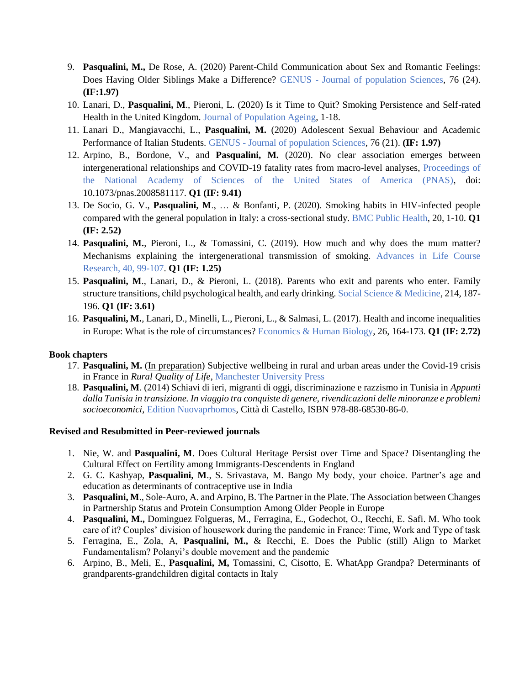- 9. **Pasqualini, M.,** De Rose, A. (2020) Parent-Child Communication about Sex and Romantic Feelings: Does Having Older Siblings Make a Difference? GENUS - Journal of population Sciences, 76 (24). **(IF:1.97)**
- 10. Lanari, D., **Pasqualini, M**., Pieroni, L. (2020) Is it Time to Quit? Smoking Persistence and Self-rated Health in the United Kingdom. Journal of Population Ageing, 1-18.
- 11. Lanari D., Mangiavacchi, L., **Pasqualini, M.** (2020) Adolescent Sexual Behaviour and Academic Performance of Italian Students. GENUS - Journal of population Sciences, 76 (21). **(IF: 1.97)**
- 12. Arpino, B., Bordone, V., and **Pasqualini, M.** (2020). No clear association emerges between intergenerational relationships and COVID-19 fatality rates from macro-level analyses, Proceedings of the National Academy of Sciences of the United States of America (PNAS), doi: 10.1073/pnas.2008581117. **Q1 (IF: 9.41)**
- 13. De Socio, G. V., **Pasqualini, M**., … & Bonfanti, P. (2020). Smoking habits in HIV-infected people compared with the general population in Italy: a cross-sectional study. BMC Public Health, 20, 1-10. **Q1 (IF: 2.52)**
- 14. **Pasqualini, M.**, Pieroni, L., & Tomassini, C. (2019). How much and why does the mum matter? Mechanisms explaining the intergenerational transmission of smoking. Advances in Life Course Research, 40, 99-107. **Q1 (IF: 1.25)**
- 15. **Pasqualini, M**., Lanari, D., & Pieroni, L. (2018). Parents who exit and parents who enter. Family structure transitions, child psychological health, and early drinking. Social Science & Medicine, 214, 187- 196. **Q1 (IF: 3.61)**
- 16. **Pasqualini, M.**, Lanari, D., Minelli, L., Pieroni, L., & Salmasi, L. (2017). Health and income inequalities in Europe: What is the role of circumstances? Economics & Human Biology, 26, 164-173. **Q1 (IF: 2.72)**

### **Book chapters**

- 17. **Pasqualini, M.** (In preparation) Subjective wellbeing in rural and urban areas under the Covid-19 crisis in France in *Rural Quality of Life*, Manchester University Press
- 18. **Pasqualini, M**. (2014) Schiavi di ieri, migranti di oggi, discriminazione e razzismo in Tunisia in *Appunti dalla Tunisia in transizione. In viaggio tra conquiste di genere, rivendicazioni delle minoranze e problemi socioeconomici*, Edition Nuovaprhomos, Città di Castello, ISBN 978-88-68530-86-0.

### **Revised and Resubmitted in Peer-reviewed journals**

- 1. Nie, W. and **Pasqualini, M**. Does Cultural Heritage Persist over Time and Space? Disentangling the Cultural Effect on Fertility among Immigrants-Descendents in England
- 2. G. C. Kashyap, **Pasqualini, M**., S. Srivastava, M. Bango My body, your choice. Partner's age and education as determinants of contraceptive use in India
- 3. **Pasqualini, M**., Sole-Auro, A. and Arpino, B. The Partner in the Plate. The Association between Changes in Partnership Status and Protein Consumption Among Older People in Europe
- 4. **Pasqualini, M.,** Dominguez Folgueras, M., Ferragina, E., Godechot, O., Recchi, E. Safi. M. Who took care of it? Couples' division of housework during the pandemic in France: Time, Work and Type of task
- 5. Ferragina, E., Zola, A, **Pasqualini, M.,** & Recchi, E. Does the Public (still) Align to Market Fundamentalism? Polanyi's double movement and the pandemic
- 6. Arpino, B., Meli, E., **Pasqualini, M,** Tomassini, C, Cisotto, E. WhatApp Grandpa? Determinants of grandparents-grandchildren digital contacts in Italy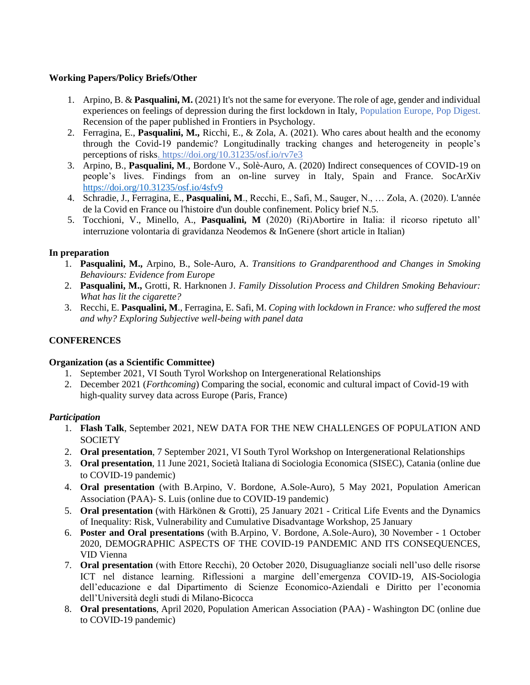### **Working Papers/Policy Briefs/Other**

- 1. Arpino, B. & **Pasqualini, M.** (2021) It's not the same for everyone. The role of age, gender and individual experiences on feelings of depression during the first lockdown in Italy, Population Europe, Pop Digest. Recension of the paper published in Frontiers in Psychology.
- 2. Ferragina, E., **Pasqualini, M.,** Ricchi, E., & Zola, A. (2021). Who cares about health and the economy through the Covid-19 pandemic? Longitudinally tracking changes and heterogeneity in people's perceptions of risks. https://doi.org/10.31235/osf.io/rv7e3
- 3. Arpino, B., **Pasqualini, M**., Bordone V., Solè-Auro, A. (2020) Indirect consequences of COVID-19 on people's lives. Findings from an on-line survey in Italy, Spain and France. SocArXiv <https://doi.org/10.31235/osf.io/4sfv9>
- 4. Schradie, J., Ferragina, E., **Pasqualini, M**., Recchi, E., Safi, M., Sauger, N., … Zola, A. (2020). L'année de la Covid en France ou l'histoire d'un double confinement. Policy brief N.5.
- 5. Tocchioni, V., Minello, A., **Pasqualini, M** (2020) (Ri)Abortire in Italia: il ricorso ripetuto all' interruzione volontaria di gravidanza Neodemos & InGenere (short article in Italian)

# **In preparation**

- 1. **Pasqualini, M.,** Arpino, B., Sole-Auro, A. *Transitions to Grandparenthood and Changes in Smoking Behaviours: Evidence from Europe*
- 2. **Pasqualini, M.,** Grotti, R. Harknonen J. *Family Dissolution Process and Children Smoking Behaviour: What has lit the cigarette?*
- 3. Recchi, E. **Pasqualini, M**., Ferragina, E. Safi, M. *Coping with lockdown in France: who suffered the most and why? Exploring Subjective well-being with panel data*

## **CONFERENCES**

### **Organization (as a Scientific Committee)**

- 1. September 2021, VI South Tyrol Workshop on Intergenerational Relationships
- 2. December 2021 (*Forthcoming*) Comparing the social, economic and cultural impact of Covid-19 with high-quality survey data across Europe (Paris, France)

# *Participation*

- 1. **Flash Talk**, September 2021, NEW DATA FOR THE NEW CHALLENGES OF POPULATION AND **SOCIETY**
- 2. **Oral presentation**, 7 September 2021, VI South Tyrol Workshop on Intergenerational Relationships
- 3. **Oral presentation**, 11 June 2021, Società Italiana di Sociologia Economica (SISEC), Catania (online due to COVID-19 pandemic)
- 4. **Oral presentation** (with B.Arpino, V. Bordone, A.Sole-Auro), 5 May 2021, Population American Association (PAA)- S. Luis (online due to COVID-19 pandemic)
- 5. **Oral presentation** (with Härkönen & Grotti), 25 January 2021 Critical Life Events and the Dynamics of Inequality: Risk, Vulnerability and Cumulative Disadvantage Workshop, 25 January
- 6. **Poster and Oral presentations** (with B.Arpino, V. Bordone, A.Sole-Auro), 30 November 1 October 2020, DEMOGRAPHIC ASPECTS OF THE COVID-19 PANDEMIC AND ITS CONSEQUENCES, VID Vienna
- 7. **Oral presentation** (with Ettore Recchi), 20 October 2020, Disuguaglianze sociali nell'uso delle risorse ICT nel distance learning. Riflessioni a margine dell'emergenza COVID-19, AIS-Sociologia dell'educazione e dal Dipartimento di Scienze Economico-Aziendali e Diritto per l'economia dell'Università degli studi di Milano-Bicocca
- 8. **Oral presentations**, April 2020, Population American Association (PAA) Washington DC (online due to COVID-19 pandemic)